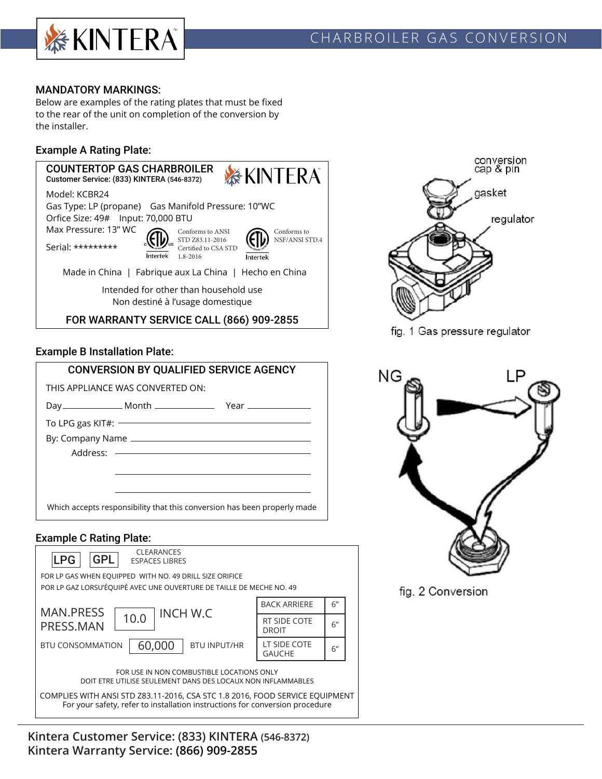

### MANDATORY MARKINGS:

Below are examples of the rating plates that must be fixed to the rear of the unit on completion of the conversion by the installer.

### Example A Rating Plate:



### Example B Installation Plate:

| <b>CONVERSION BY QUALIFIED SERVICE AGENCY</b>                            |                                   |  |  |
|--------------------------------------------------------------------------|-----------------------------------|--|--|
|                                                                          | THIS APPI IANCE WAS CONVERTED ON: |  |  |
|                                                                          |                                   |  |  |
|                                                                          | To LPG gas KIT#:                  |  |  |
|                                                                          |                                   |  |  |
|                                                                          |                                   |  |  |
|                                                                          |                                   |  |  |
|                                                                          |                                   |  |  |
|                                                                          |                                   |  |  |
| Which accepts responsibility that this conversion has been properly made |                                   |  |  |
|                                                                          |                                   |  |  |

### Example C Rating Plate:

| <b>CLEARANCES</b><br><b>LPG</b><br><b>GPL</b><br><b>ESPACES LIBRES</b>                                                                                                                    |                               |    |  |  |
|-------------------------------------------------------------------------------------------------------------------------------------------------------------------------------------------|-------------------------------|----|--|--|
| FOR LP GAS WHEN EQUIPPED WITH NO. 49 DRILL SIZE ORIFICE                                                                                                                                   |                               |    |  |  |
| POR LP GAZ LORSU'ÉQUIPÉ AVEC UNE OUVERTURE DE TAILLE DE MECHE NO. 49                                                                                                                      |                               |    |  |  |
| <b>MAN.PRESS</b><br><b>INCH W.C</b>                                                                                                                                                       | <b>BACK ARRIERE</b>           | 6" |  |  |
| 10.0<br>PRESS.MAN                                                                                                                                                                         | RT SIDE COTE<br><b>DROIT</b>  | 6" |  |  |
| 60,000<br><b>BTU CONSOMMATION</b><br><b>BTU INPUT/HR</b>                                                                                                                                  | LT SIDE COTE<br><b>GAUCHE</b> | 6" |  |  |
| FOR USE IN NON COMBUSTIBLE LOCATIONS ONLY<br>DOIT ETRE UTILISE SEULEMENT DANS DES LOCAUX NON INFLAMMABLES<br>COMPLIES WITH ANSI STD Z83.11-2016, CSA STC 1.8 2016, FOOD SERVICE EQUIPMENT |                               |    |  |  |
| For your safety, refer to installation instructions for conversion procedure                                                                                                              |                               |    |  |  |





fig. 1 Gas pressure regulator



fig. 2 Conversion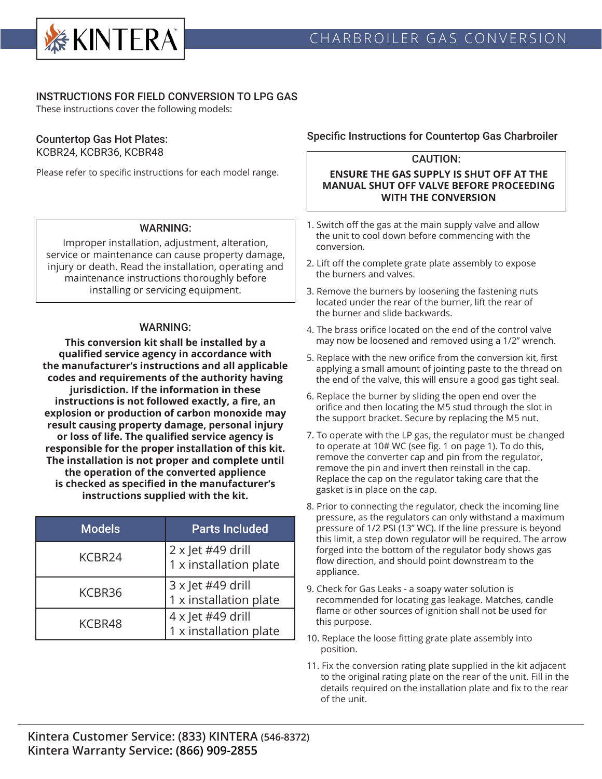

### INSTRUCTIONS FOR FIELD CONVERSION TO LPG GAS

These instructions cover the following models:

### Countertop Gas Hot Plates: KCBR24, KCBR36, KCBR48

Please refer to specific instructions for each model range.

## WARNING:

Improper installation, adjustment, alteration, service or maintenance can cause property damage, injury or death. Read the installation, operating and maintenance instructions thoroughly before installing or servicing equipment.

### WARNING:

**This conversion kit shall be installed by a qualified service agency in accordance with the manufacturer's instructions and all applicable codes and requirements of the authority having jurisdiction. If the information in these instructions is not followed exactly, a fire, an explosion or production of carbon monoxide may result causing property damage, personal injury or loss of life. The qualified service agency is responsible for the proper installation of this kit. The installation is not proper and complete until the operation of the converted applience is checked as specified in the manufacturer's instructions supplied with the kit.**

| <b>Models</b> | <b>Parts Included</b>                       |
|---------------|---------------------------------------------|
| KCBR24        | 2 x Jet #49 drill<br>1 x installation plate |
| KCBR36        | 3 x Jet #49 drill<br>1 x installation plate |
| KCBR48        | 4 x Jet #49 drill<br>1 x installation plate |

### Specific Instructions for Countertop Gas Charbroiler

# CAUTION:

#### **ENSURE THE GAS SUPPLY IS SHUT OFF AT THE MANUAL SHUT OFF VALVE BEFORE PROCEEDING WITH THE CONVERSION**

- 1. Switch off the gas at the main supply valve and allow the unit to cool down before commencing with the conversion.
- 2. Lift off the complete grate plate assembly to expose the burners and valves.
- 3. Remove the burners by loosening the fastening nuts located under the rear of the burner, lift the rear of the burner and slide backwards.
- 4. The brass orifice located on the end of the control valve may now be loosened and removed using a 1/2" wrench.
- 5. Replace with the new orifice from the conversion kit, first applying a small amount of jointing paste to the thread on the end of the valve, this will ensure a good gas tight seal.
- 6. Replace the burner by sliding the open end over the orifice and then locating the M5 stud through the slot in the support bracket. Secure by replacing the M5 nut.
- 7. To operate with the LP gas, the regulator must be changed to operate at 10# WC (see fig. 1 on page 1). To do this, remove the converter cap and pin from the regulator, remove the pin and invert then reinstall in the cap. Replace the cap on the regulator taking care that the gasket is in place on the cap.
- 8. Prior to connecting the regulator, check the incoming line pressure, as the regulators can only withstand a maximum pressure of 1/2 PSI (13" WC). If the line pressure is beyond this limit, a step down regulator will be required. The arrow forged into the bottom of the regulator body shows gas flow direction, and should point downstream to the appliance.
- 9. Check for Gas Leaks a soapy water solution is recommended for locating gas leakage. Matches, candle flame or other sources of ignition shall not be used for this purpose.
- 10. Replace the loose fitting grate plate assembly into position.
- 11. Fix the conversion rating plate supplied in the kit adjacent to the original rating plate on the rear of the unit. Fill in the details required on the installation plate and fix to the rear of the unit.